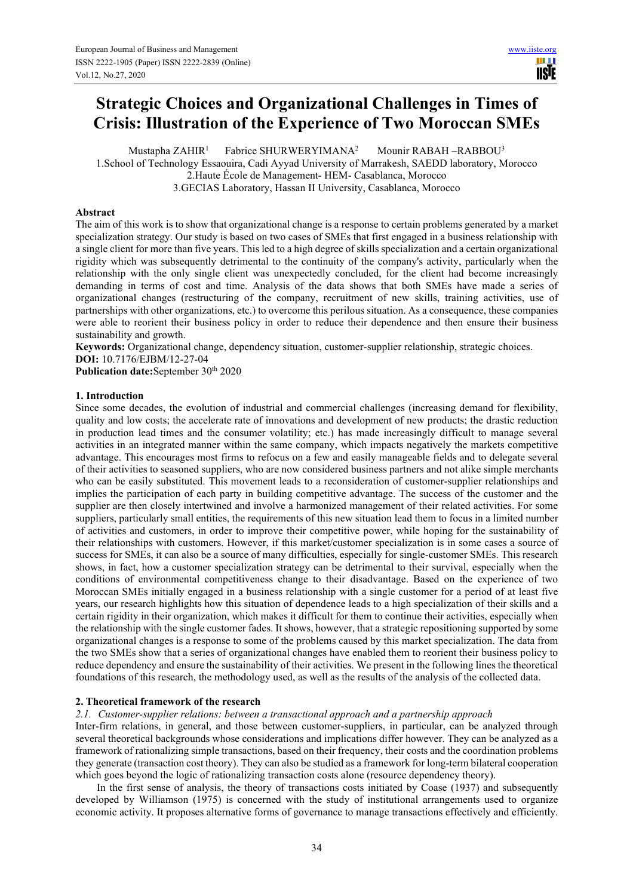# **Strategic Choices and Organizational Challenges in Times of Crisis: Illustration of the Experience of Two Moroccan SMEs**

Mustapha ZAHIR<sup>1</sup> Fabrice SHURWERYIMANA<sup>2</sup> Mounir RABAH –RABBOU<sup>3</sup> 1.School of Technology Essaouira, Cadi Ayyad University of Marrakesh, SAEDD laboratory, Morocco 2.Haute École de Management- HEM- Casablanca, Morocco 3.GECIAS Laboratory, Hassan II University, Casablanca, Morocco

## **Abstract**

The aim of this work is to show that organizational change is a response to certain problems generated by a market specialization strategy. Our study is based on two cases of SMEs that first engaged in a business relationship with a single client for more than five years. This led to a high degree of skills specialization and a certain organizational rigidity which was subsequently detrimental to the continuity of the company's activity, particularly when the relationship with the only single client was unexpectedly concluded, for the client had become increasingly demanding in terms of cost and time. Analysis of the data shows that both SMEs have made a series of organizational changes (restructuring of the company, recruitment of new skills, training activities, use of partnerships with other organizations, etc.) to overcome this perilous situation. As a consequence, these companies were able to reorient their business policy in order to reduce their dependence and then ensure their business sustainability and growth.

**Keywords:** Organizational change, dependency situation, customer-supplier relationship, strategic choices. **DOI:** 10.7176/EJBM/12-27-04

Publication date:September 30<sup>th</sup> 2020

## **1. Introduction**

Since some decades, the evolution of industrial and commercial challenges (increasing demand for flexibility, quality and low costs; the accelerate rate of innovations and development of new products; the drastic reduction in production lead times and the consumer volatility; etc.) has made increasingly difficult to manage several activities in an integrated manner within the same company, which impacts negatively the markets competitive advantage. This encourages most firms to refocus on a few and easily manageable fields and to delegate several of their activities to seasoned suppliers, who are now considered business partners and not alike simple merchants who can be easily substituted. This movement leads to a reconsideration of customer-supplier relationships and implies the participation of each party in building competitive advantage. The success of the customer and the supplier are then closely intertwined and involve a harmonized management of their related activities. For some suppliers, particularly small entities, the requirements of this new situation lead them to focus in a limited number of activities and customers, in order to improve their competitive power, while hoping for the sustainability of their relationships with customers. However, if this market/customer specialization is in some cases a source of success for SMEs, it can also be a source of many difficulties, especially for single-customer SMEs. This research shows, in fact, how a customer specialization strategy can be detrimental to their survival, especially when the conditions of environmental competitiveness change to their disadvantage. Based on the experience of two Moroccan SMEs initially engaged in a business relationship with a single customer for a period of at least five years, our research highlights how this situation of dependence leads to a high specialization of their skills and a certain rigidity in their organization, which makes it difficult for them to continue their activities, especially when the relationship with the single customer fades. It shows, however, that a strategic repositioning supported by some organizational changes is a response to some of the problems caused by this market specialization. The data from the two SMEs show that a series of organizational changes have enabled them to reorient their business policy to reduce dependency and ensure the sustainability of their activities. We present in the following lines the theoretical foundations of this research, the methodology used, as well as the results of the analysis of the collected data.

## **2. Theoretical framework of the research**

#### *2.1. Customer-supplier relations: between a transactional approach and a partnership approach*

Inter-firm relations, in general, and those between customer-suppliers, in particular, can be analyzed through several theoretical backgrounds whose considerations and implications differ however. They can be analyzed as a framework of rationalizing simple transactions, based on their frequency, their costs and the coordination problems they generate (transaction cost theory). They can also be studied as a framework for long-term bilateral cooperation which goes beyond the logic of rationalizing transaction costs alone (resource dependency theory).

In the first sense of analysis, the theory of transactions costs initiated by Coase (1937) and subsequently developed by Williamson (1975) is concerned with the study of institutional arrangements used to organize economic activity. It proposes alternative forms of governance to manage transactions effectively and efficiently.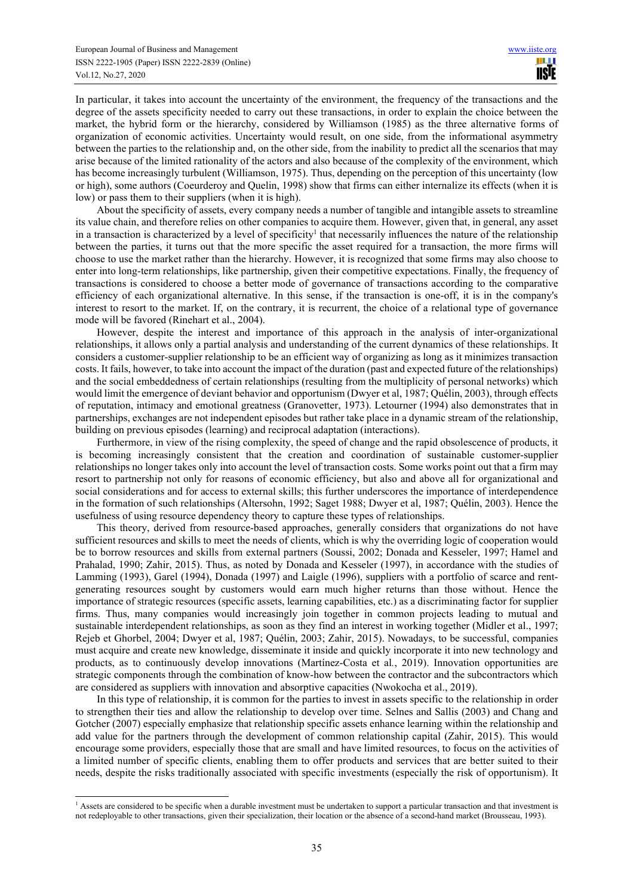In particular, it takes into account the uncertainty of the environment, the frequency of the transactions and the degree of the assets specificity needed to carry out these transactions, in order to explain the choice between the market, the hybrid form or the hierarchy, considered by Williamson (1985) as the three alternative forms of organization of economic activities. Uncertainty would result, on one side, from the informational asymmetry between the parties to the relationship and, on the other side, from the inability to predict all the scenarios that may arise because of the limited rationality of the actors and also because of the complexity of the environment, which has become increasingly turbulent (Williamson, 1975). Thus, depending on the perception of this uncertainty (low or high), some authors (Coeurderoy and Quelin, 1998) show that firms can either internalize its effects (when it is low) or pass them to their suppliers (when it is high).

About the specificity of assets, every company needs a number of tangible and intangible assets to streamline its value chain, and therefore relies on other companies to acquire them. However, given that, in general, any asset in a transaction is characterized by a level of specificity<sup>1</sup> that necessarily influences the nature of the relationship between the parties, it turns out that the more specific the asset required for a transaction, the more firms will choose to use the market rather than the hierarchy. However, it is recognized that some firms may also choose to enter into long-term relationships, like partnership, given their competitive expectations. Finally, the frequency of transactions is considered to choose a better mode of governance of transactions according to the comparative efficiency of each organizational alternative. In this sense, if the transaction is one-off, it is in the company's interest to resort to the market. If, on the contrary, it is recurrent, the choice of a relational type of governance mode will be favored (Rinehart et al., 2004).

However, despite the interest and importance of this approach in the analysis of inter-organizational relationships, it allows only a partial analysis and understanding of the current dynamics of these relationships. It considers a customer-supplier relationship to be an efficient way of organizing as long as it minimizes transaction costs. It fails, however, to take into account the impact of the duration (past and expected future of the relationships) and the social embeddedness of certain relationships (resulting from the multiplicity of personal networks) which would limit the emergence of deviant behavior and opportunism (Dwyer et al, 1987; Quélin, 2003), through effects of reputation, intimacy and emotional greatness (Granovetter, 1973). Letourner (1994) also demonstrates that in partnerships, exchanges are not independent episodes but rather take place in a dynamic stream of the relationship, building on previous episodes (learning) and reciprocal adaptation (interactions).

Furthermore, in view of the rising complexity, the speed of change and the rapid obsolescence of products, it is becoming increasingly consistent that the creation and coordination of sustainable customer-supplier relationships no longer takes only into account the level of transaction costs. Some works point out that a firm may resort to partnership not only for reasons of economic efficiency, but also and above all for organizational and social considerations and for access to external skills; this further underscores the importance of interdependence in the formation of such relationships (Altersohn, 1992; Saget 1988; Dwyer et al, 1987; Quélin, 2003). Hence the usefulness of using resource dependency theory to capture these types of relationships.

This theory, derived from resource-based approaches, generally considers that organizations do not have sufficient resources and skills to meet the needs of clients, which is why the overriding logic of cooperation would be to borrow resources and skills from external partners (Soussi, 2002; Donada and Kesseler, 1997; Hamel and Prahalad, 1990; Zahir, 2015). Thus, as noted by Donada and Kesseler (1997), in accordance with the studies of Lamming (1993), Garel (1994), Donada (1997) and Laigle (1996), suppliers with a portfolio of scarce and rentgenerating resources sought by customers would earn much higher returns than those without. Hence the importance of strategic resources (specific assets, learning capabilities, etc.) as a discriminating factor for supplier firms. Thus, many companies would increasingly join together in common projects leading to mutual and sustainable interdependent relationships, as soon as they find an interest in working together (Midler et al., 1997; Rejeb et Ghorbel, 2004; Dwyer et al, 1987; Quélin, 2003; Zahir, 2015). Nowadays, to be successful, companies must acquire and create new knowledge, disseminate it inside and quickly incorporate it into new technology and products, as to continuously develop innovations (Martínez-Costa et al*.*, 2019). Innovation opportunities are strategic components through the combination of know-how between the contractor and the subcontractors which are considered as suppliers with innovation and absorptive capacities (Nwokocha et al., 2019).

In this type of relationship, it is common for the parties to invest in assets specific to the relationship in order to strengthen their ties and allow the relationship to develop over time. Selnes and Sallis (2003) and Chang and Gotcher (2007) especially emphasize that relationship specific assets enhance learning within the relationship and add value for the partners through the development of common relationship capital (Zahir, 2015). This would encourage some providers, especially those that are small and have limited resources, to focus on the activities of a limited number of specific clients, enabling them to offer products and services that are better suited to their needs, despite the risks traditionally associated with specific investments (especially the risk of opportunism). It

<sup>&</sup>lt;sup>1</sup> Assets are considered to be specific when a durable investment must be undertaken to support a particular transaction and that investment is not redeployable to other transactions, given their specialization, their location or the absence of a second-hand market (Brousseau, 1993).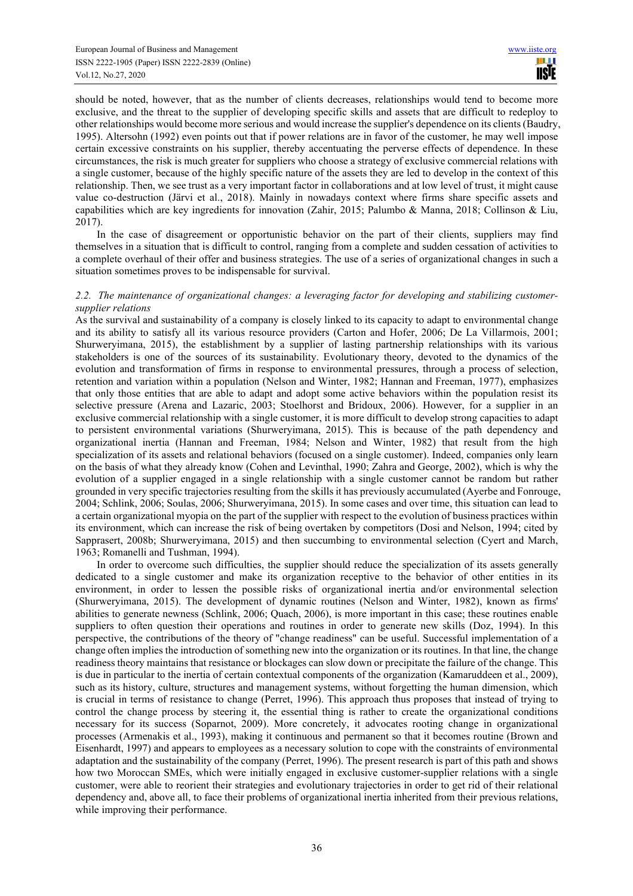should be noted, however, that as the number of clients decreases, relationships would tend to become more exclusive, and the threat to the supplier of developing specific skills and assets that are difficult to redeploy to other relationships would become more serious and would increase the supplier's dependence on its clients (Baudry, 1995). Altersohn (1992) even points out that if power relations are in favor of the customer, he may well impose certain excessive constraints on his supplier, thereby accentuating the perverse effects of dependence. In these circumstances, the risk is much greater for suppliers who choose a strategy of exclusive commercial relations with a single customer, because of the highly specific nature of the assets they are led to develop in the context of this relationship. Then, we see trust as a very important factor in collaborations and at low level of trust, it might cause value co-destruction (Järvi et al., 2018). Mainly in nowadays context where firms share specific assets and capabilities which are key ingredients for innovation (Zahir, 2015; Palumbo & Manna, 2018; Collinson & Liu, 2017).

In the case of disagreement or opportunistic behavior on the part of their clients, suppliers may find themselves in a situation that is difficult to control, ranging from a complete and sudden cessation of activities to a complete overhaul of their offer and business strategies. The use of a series of organizational changes in such a situation sometimes proves to be indispensable for survival.

## *2.2. The maintenance of organizational changes: a leveraging factor for developing and stabilizing customersupplier relations*

As the survival and sustainability of a company is closely linked to its capacity to adapt to environmental change and its ability to satisfy all its various resource providers (Carton and Hofer, 2006; De La Villarmois, 2001; Shurweryimana, 2015), the establishment by a supplier of lasting partnership relationships with its various stakeholders is one of the sources of its sustainability. Evolutionary theory, devoted to the dynamics of the evolution and transformation of firms in response to environmental pressures, through a process of selection, retention and variation within a population (Nelson and Winter, 1982; Hannan and Freeman, 1977), emphasizes that only those entities that are able to adapt and adopt some active behaviors within the population resist its selective pressure (Arena and Lazaric, 2003; Stoelhorst and Bridoux, 2006). However, for a supplier in an exclusive commercial relationship with a single customer, it is more difficult to develop strong capacities to adapt to persistent environmental variations (Shurweryimana, 2015). This is because of the path dependency and organizational inertia (Hannan and Freeman, 1984; Nelson and Winter, 1982) that result from the high specialization of its assets and relational behaviors (focused on a single customer). Indeed, companies only learn on the basis of what they already know (Cohen and Levinthal, 1990; Zahra and George, 2002), which is why the evolution of a supplier engaged in a single relationship with a single customer cannot be random but rather grounded in very specific trajectories resulting from the skills it has previously accumulated (Ayerbe and Fonrouge, 2004; Schlink, 2006; Soulas, 2006; Shurweryimana, 2015). In some cases and over time, this situation can lead to a certain organizational myopia on the part of the supplier with respect to the evolution of business practices within its environment, which can increase the risk of being overtaken by competitors (Dosi and Nelson, 1994; cited by Sapprasert, 2008b; Shurweryimana, 2015) and then succumbing to environmental selection (Cyert and March, 1963; Romanelli and Tushman, 1994).

In order to overcome such difficulties, the supplier should reduce the specialization of its assets generally dedicated to a single customer and make its organization receptive to the behavior of other entities in its environment, in order to lessen the possible risks of organizational inertia and/or environmental selection (Shurweryimana, 2015). The development of dynamic routines (Nelson and Winter, 1982), known as firms' abilities to generate newness (Schlink, 2006; Quach, 2006), is more important in this case; these routines enable suppliers to often question their operations and routines in order to generate new skills (Doz, 1994). In this perspective, the contributions of the theory of "change readiness" can be useful. Successful implementation of a change often implies the introduction of something new into the organization or its routines. In that line, the change readiness theory maintains that resistance or blockages can slow down or precipitate the failure of the change. This is due in particular to the inertia of certain contextual components of the organization (Kamaruddeen et al., 2009), such as its history, culture, structures and management systems, without forgetting the human dimension, which is crucial in terms of resistance to change (Perret, 1996). This approach thus proposes that instead of trying to control the change process by steering it, the essential thing is rather to create the organizational conditions necessary for its success (Soparnot, 2009). More concretely, it advocates rooting change in organizational processes (Armenakis et al., 1993), making it continuous and permanent so that it becomes routine (Brown and Eisenhardt, 1997) and appears to employees as a necessary solution to cope with the constraints of environmental adaptation and the sustainability of the company (Perret, 1996). The present research is part of this path and shows how two Moroccan SMEs, which were initially engaged in exclusive customer-supplier relations with a single customer, were able to reorient their strategies and evolutionary trajectories in order to get rid of their relational dependency and, above all, to face their problems of organizational inertia inherited from their previous relations, while improving their performance.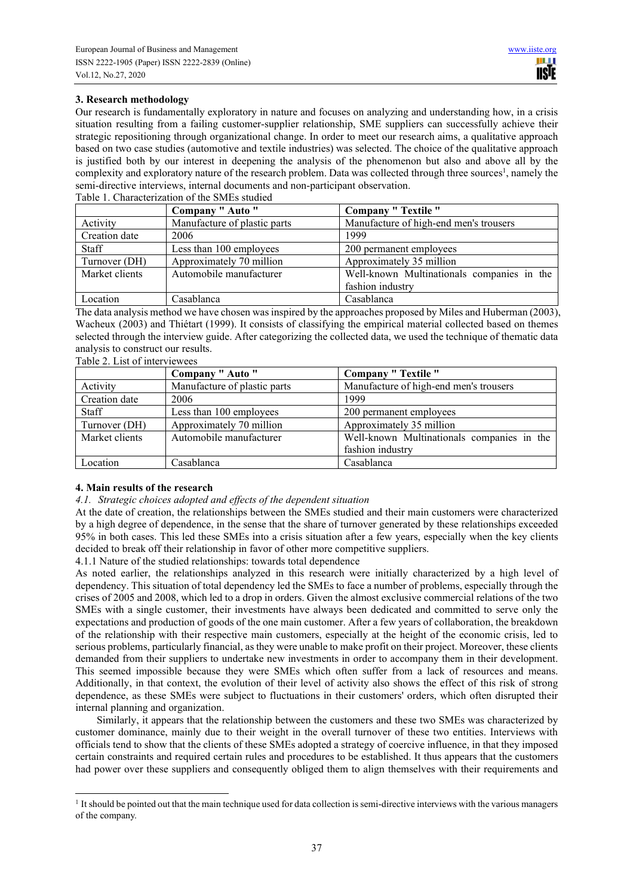# **3. Research methodology**

Our research is fundamentally exploratory in nature and focuses on analyzing and understanding how, in a crisis situation resulting from a failing customer-supplier relationship, SME suppliers can successfully achieve their strategic repositioning through organizational change. In order to meet our research aims, a qualitative approach based on two case studies (automotive and textile industries) was selected. The choice of the qualitative approach is justified both by our interest in deepening the analysis of the phenomenon but also and above all by the complexity and exploratory nature of the research problem. Data was collected through three sources<sup>1</sup>, namely the semi-directive interviews, internal documents and non-participant observation. Table 1. Characterization of the SMEs studied

|                | Company " Auto "             | <b>Company " Textile "</b>                 |
|----------------|------------------------------|--------------------------------------------|
| Activity       | Manufacture of plastic parts | Manufacture of high-end men's trousers     |
| Creation date  | 2006                         | 1999                                       |
| Staff          | Less than 100 employees      | 200 permanent employees                    |
| Turnover (DH)  | Approximately 70 million     | Approximately 35 million                   |
| Market clients | Automobile manufacturer      | Well-known Multinationals companies in the |
|                |                              | fashion industry                           |
| Location       | Casablanca                   | Casablanca                                 |

The data analysis method we have chosen was inspired by the approaches proposed by Miles and Huberman (2003), Wacheux (2003) and Thiétart (1999). It consists of classifying the empirical material collected based on themes selected through the interview guide. After categorizing the collected data, we used the technique of thematic data analysis to construct our results. Table 2. List of interviewees

| 1.00002.100001110011000000 |                              |                                            |
|----------------------------|------------------------------|--------------------------------------------|
|                            | Company " Auto "             | <b>Company " Textile "</b>                 |
| Activity                   | Manufacture of plastic parts | Manufacture of high-end men's trousers     |
| Creation date              | 2006                         | 1999                                       |
| Staff                      | Less than 100 employees      | 200 permanent employees                    |
| Turnover (DH)              | Approximately 70 million     | Approximately 35 million                   |
| Market clients             | Automobile manufacturer      | Well-known Multinationals companies in the |
|                            |                              | fashion industry                           |
| Location                   | Casablanca                   | Casablanca                                 |

## **4. Main results of the research**

## *4.1. Strategic choices adopted and effects of the dependent situation*

At the date of creation, the relationships between the SMEs studied and their main customers were characterized by a high degree of dependence, in the sense that the share of turnover generated by these relationships exceeded 95% in both cases. This led these SMEs into a crisis situation after a few years, especially when the key clients decided to break off their relationship in favor of other more competitive suppliers.

4.1.1 Nature of the studied relationships: towards total dependence

As noted earlier, the relationships analyzed in this research were initially characterized by a high level of dependency. This situation of total dependency led the SMEs to face a number of problems, especially through the crises of 2005 and 2008, which led to a drop in orders. Given the almost exclusive commercial relations of the two SMEs with a single customer, their investments have always been dedicated and committed to serve only the expectations and production of goods of the one main customer. After a few years of collaboration, the breakdown of the relationship with their respective main customers, especially at the height of the economic crisis, led to serious problems, particularly financial, as they were unable to make profit on their project. Moreover, these clients demanded from their suppliers to undertake new investments in order to accompany them in their development. This seemed impossible because they were SMEs which often suffer from a lack of resources and means. Additionally, in that context, the evolution of their level of activity also shows the effect of this risk of strong dependence, as these SMEs were subject to fluctuations in their customers' orders, which often disrupted their internal planning and organization.

Similarly, it appears that the relationship between the customers and these two SMEs was characterized by customer dominance, mainly due to their weight in the overall turnover of these two entities. Interviews with officials tend to show that the clients of these SMEs adopted a strategy of coercive influence, in that they imposed certain constraints and required certain rules and procedures to be established. It thus appears that the customers had power over these suppliers and consequently obliged them to align themselves with their requirements and

<sup>1</sup> It should be pointed out that the main technique used for data collection is semi-directive interviews with the various managers of the company.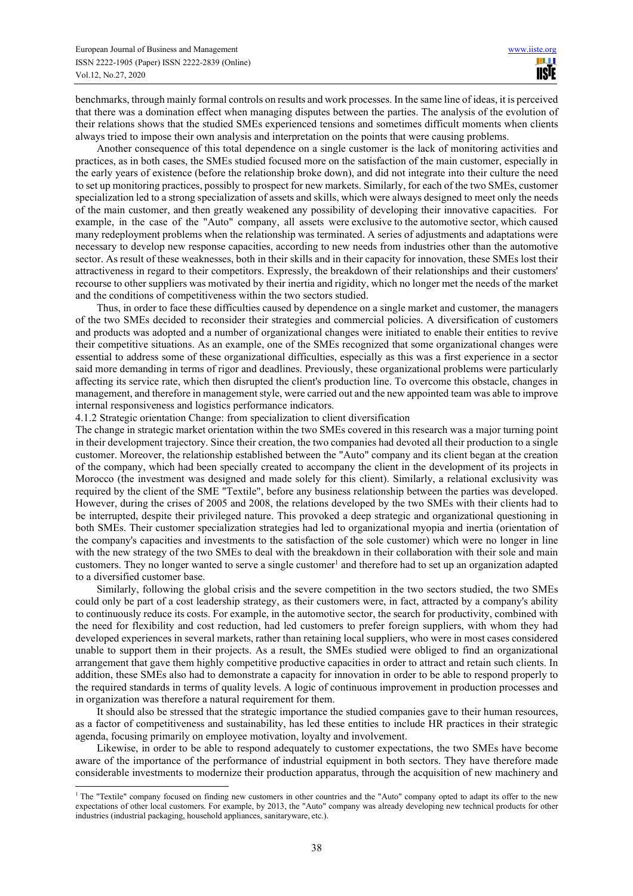benchmarks, through mainly formal controls on results and work processes. In the same line of ideas, it is perceived that there was a domination effect when managing disputes between the parties. The analysis of the evolution of their relations shows that the studied SMEs experienced tensions and sometimes difficult moments when clients always tried to impose their own analysis and interpretation on the points that were causing problems.

Another consequence of this total dependence on a single customer is the lack of monitoring activities and practices, as in both cases, the SMEs studied focused more on the satisfaction of the main customer, especially in the early years of existence (before the relationship broke down), and did not integrate into their culture the need to set up monitoring practices, possibly to prospect for new markets. Similarly, for each of the two SMEs, customer specialization led to a strong specialization of assets and skills, which were always designed to meet only the needs of the main customer, and then greatly weakened any possibility of developing their innovative capacities. For example, in the case of the "Auto" company, all assets were exclusive to the automotive sector, which caused many redeployment problems when the relationship was terminated. A series of adjustments and adaptations were necessary to develop new response capacities, according to new needs from industries other than the automotive sector. As result of these weaknesses, both in their skills and in their capacity for innovation, these SMEs lost their attractiveness in regard to their competitors. Expressly, the breakdown of their relationships and their customers' recourse to other suppliers was motivated by their inertia and rigidity, which no longer met the needs of the market and the conditions of competitiveness within the two sectors studied.

Thus, in order to face these difficulties caused by dependence on a single market and customer, the managers of the two SMEs decided to reconsider their strategies and commercial policies. A diversification of customers and products was adopted and a number of organizational changes were initiated to enable their entities to revive their competitive situations. As an example, one of the SMEs recognized that some organizational changes were essential to address some of these organizational difficulties, especially as this was a first experience in a sector said more demanding in terms of rigor and deadlines. Previously, these organizational problems were particularly affecting its service rate, which then disrupted the client's production line. To overcome this obstacle, changes in management, and therefore in management style, were carried out and the new appointed team was able to improve internal responsiveness and logistics performance indicators.

4.1.2 Strategic orientation Change: from specialization to client diversification

The change in strategic market orientation within the two SMEs covered in this research was a major turning point in their development trajectory. Since their creation, the two companies had devoted all their production to a single customer. Moreover, the relationship established between the "Auto" company and its client began at the creation of the company, which had been specially created to accompany the client in the development of its projects in Morocco (the investment was designed and made solely for this client). Similarly, a relational exclusivity was required by the client of the SME "Textile", before any business relationship between the parties was developed. However, during the crises of 2005 and 2008, the relations developed by the two SMEs with their clients had to be interrupted, despite their privileged nature. This provoked a deep strategic and organizational questioning in both SMEs. Their customer specialization strategies had led to organizational myopia and inertia (orientation of the company's capacities and investments to the satisfaction of the sole customer) which were no longer in line with the new strategy of the two SMEs to deal with the breakdown in their collaboration with their sole and main customers. They no longer wanted to serve a single customer<sup>1</sup> and therefore had to set up an organization adapted to a diversified customer base.

Similarly, following the global crisis and the severe competition in the two sectors studied, the two SMEs could only be part of a cost leadership strategy, as their customers were, in fact, attracted by a company's ability to continuously reduce its costs. For example, in the automotive sector, the search for productivity, combined with the need for flexibility and cost reduction, had led customers to prefer foreign suppliers, with whom they had developed experiences in several markets, rather than retaining local suppliers, who were in most cases considered unable to support them in their projects. As a result, the SMEs studied were obliged to find an organizational arrangement that gave them highly competitive productive capacities in order to attract and retain such clients. In addition, these SMEs also had to demonstrate a capacity for innovation in order to be able to respond properly to the required standards in terms of quality levels. A logic of continuous improvement in production processes and in organization was therefore a natural requirement for them.

It should also be stressed that the strategic importance the studied companies gave to their human resources, as a factor of competitiveness and sustainability, has led these entities to include HR practices in their strategic agenda, focusing primarily on employee motivation, loyalty and involvement.

Likewise, in order to be able to respond adequately to customer expectations, the two SMEs have become aware of the importance of the performance of industrial equipment in both sectors. They have therefore made considerable investments to modernize their production apparatus, through the acquisition of new machinery and

<sup>&</sup>lt;sup>1</sup> The "Textile" company focused on finding new customers in other countries and the "Auto" company opted to adapt its offer to the new expectations of other local customers. For example, by 2013, the "Auto" company was already developing new technical products for other industries (industrial packaging, household appliances, sanitaryware, etc.).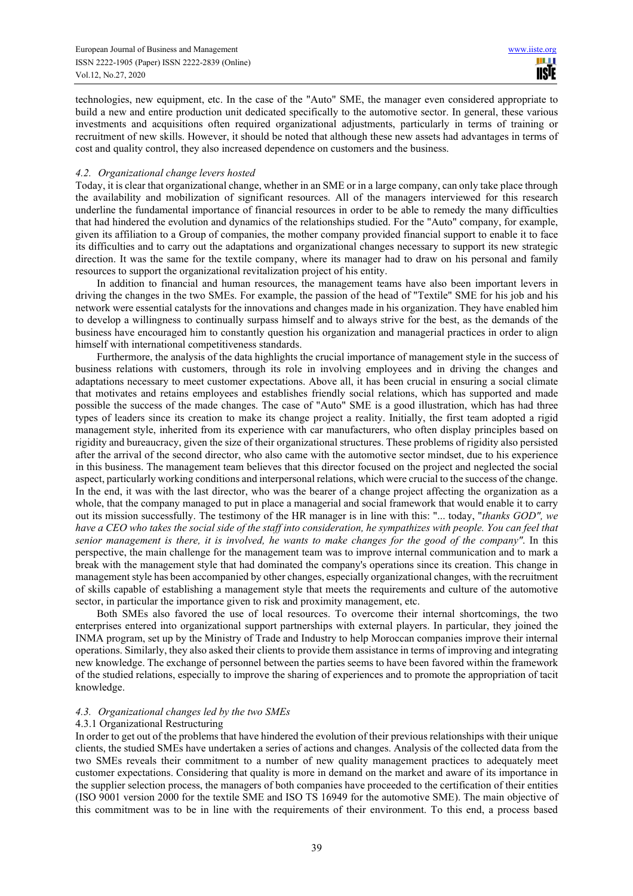technologies, new equipment, etc. In the case of the "Auto" SME, the manager even considered appropriate to build a new and entire production unit dedicated specifically to the automotive sector. In general, these various investments and acquisitions often required organizational adjustments, particularly in terms of training or recruitment of new skills. However, it should be noted that although these new assets had advantages in terms of cost and quality control, they also increased dependence on customers and the business.

## *4.2. Organizational change levers hosted*

Today, it is clear that organizational change, whether in an SME or in a large company, can only take place through the availability and mobilization of significant resources. All of the managers interviewed for this research underline the fundamental importance of financial resources in order to be able to remedy the many difficulties that had hindered the evolution and dynamics of the relationships studied. For the "Auto" company, for example, given its affiliation to a Group of companies, the mother company provided financial support to enable it to face its difficulties and to carry out the adaptations and organizational changes necessary to support its new strategic direction. It was the same for the textile company, where its manager had to draw on his personal and family resources to support the organizational revitalization project of his entity.

In addition to financial and human resources, the management teams have also been important levers in driving the changes in the two SMEs. For example, the passion of the head of "Textile" SME for his job and his network were essential catalysts for the innovations and changes made in his organization. They have enabled him to develop a willingness to continually surpass himself and to always strive for the best, as the demands of the business have encouraged him to constantly question his organization and managerial practices in order to align himself with international competitiveness standards.

Furthermore, the analysis of the data highlights the crucial importance of management style in the success of business relations with customers, through its role in involving employees and in driving the changes and adaptations necessary to meet customer expectations. Above all, it has been crucial in ensuring a social climate that motivates and retains employees and establishes friendly social relations, which has supported and made possible the success of the made changes. The case of "Auto" SME is a good illustration, which has had three types of leaders since its creation to make its change project a reality. Initially, the first team adopted a rigid management style, inherited from its experience with car manufacturers, who often display principles based on rigidity and bureaucracy, given the size of their organizational structures. These problems of rigidity also persisted after the arrival of the second director, who also came with the automotive sector mindset, due to his experience in this business. The management team believes that this director focused on the project and neglected the social aspect, particularly working conditions and interpersonal relations, which were crucial to the success of the change. In the end, it was with the last director, who was the bearer of a change project affecting the organization as a whole, that the company managed to put in place a managerial and social framework that would enable it to carry out its mission successfully. The testimony of the HR manager is in line with this: "... today, "*thanks GOD", we have a CEO who takes the social side of the staff into consideration, he sympathizes with people. You can feel that senior management is there, it is involved, he wants to make changes for the good of the company"*. In this perspective, the main challenge for the management team was to improve internal communication and to mark a break with the management style that had dominated the company's operations since its creation. This change in management style has been accompanied by other changes, especially organizational changes, with the recruitment of skills capable of establishing a management style that meets the requirements and culture of the automotive sector, in particular the importance given to risk and proximity management, etc.

Both SMEs also favored the use of local resources. To overcome their internal shortcomings, the two enterprises entered into organizational support partnerships with external players. In particular, they joined the INMA program, set up by the Ministry of Trade and Industry to help Moroccan companies improve their internal operations. Similarly, they also asked their clients to provide them assistance in terms of improving and integrating new knowledge. The exchange of personnel between the parties seems to have been favored within the framework of the studied relations, especially to improve the sharing of experiences and to promote the appropriation of tacit knowledge.

## *4.3. Organizational changes led by the two SMEs*

## 4.3.1 Organizational Restructuring

In order to get out of the problems that have hindered the evolution of their previous relationships with their unique clients, the studied SMEs have undertaken a series of actions and changes. Analysis of the collected data from the two SMEs reveals their commitment to a number of new quality management practices to adequately meet customer expectations. Considering that quality is more in demand on the market and aware of its importance in the supplier selection process, the managers of both companies have proceeded to the certification of their entities (ISO 9001 version 2000 for the textile SME and ISO TS 16949 for the automotive SME). The main objective of this commitment was to be in line with the requirements of their environment. To this end, a process based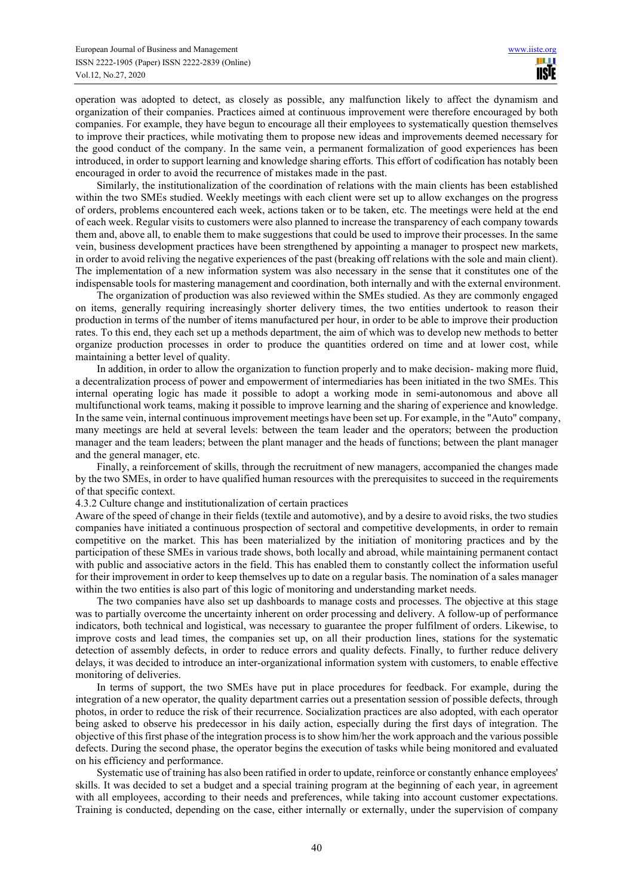operation was adopted to detect, as closely as possible, any malfunction likely to affect the dynamism and organization of their companies. Practices aimed at continuous improvement were therefore encouraged by both companies. For example, they have begun to encourage all their employees to systematically question themselves to improve their practices, while motivating them to propose new ideas and improvements deemed necessary for the good conduct of the company. In the same vein, a permanent formalization of good experiences has been introduced, in order to support learning and knowledge sharing efforts. This effort of codification has notably been encouraged in order to avoid the recurrence of mistakes made in the past.

Similarly, the institutionalization of the coordination of relations with the main clients has been established within the two SMEs studied. Weekly meetings with each client were set up to allow exchanges on the progress of orders, problems encountered each week, actions taken or to be taken, etc. The meetings were held at the end of each week. Regular visits to customers were also planned to increase the transparency of each company towards them and, above all, to enable them to make suggestions that could be used to improve their processes. In the same vein, business development practices have been strengthened by appointing a manager to prospect new markets, in order to avoid reliving the negative experiences of the past (breaking off relations with the sole and main client). The implementation of a new information system was also necessary in the sense that it constitutes one of the indispensable tools for mastering management and coordination, both internally and with the external environment.

The organization of production was also reviewed within the SMEs studied. As they are commonly engaged on items, generally requiring increasingly shorter delivery times, the two entities undertook to reason their production in terms of the number of items manufactured per hour, in order to be able to improve their production rates. To this end, they each set up a methods department, the aim of which was to develop new methods to better organize production processes in order to produce the quantities ordered on time and at lower cost, while maintaining a better level of quality.

In addition, in order to allow the organization to function properly and to make decision- making more fluid, a decentralization process of power and empowerment of intermediaries has been initiated in the two SMEs. This internal operating logic has made it possible to adopt a working mode in semi-autonomous and above all multifunctional work teams, making it possible to improve learning and the sharing of experience and knowledge. In the same vein, internal continuous improvement meetings have been set up. For example, in the "Auto" company, many meetings are held at several levels: between the team leader and the operators; between the production manager and the team leaders; between the plant manager and the heads of functions; between the plant manager and the general manager, etc.

Finally, a reinforcement of skills, through the recruitment of new managers, accompanied the changes made by the two SMEs, in order to have qualified human resources with the prerequisites to succeed in the requirements of that specific context.

4.3.2 Culture change and institutionalization of certain practices

Aware of the speed of change in their fields (textile and automotive), and by a desire to avoid risks, the two studies companies have initiated a continuous prospection of sectoral and competitive developments, in order to remain competitive on the market. This has been materialized by the initiation of monitoring practices and by the participation of these SMEs in various trade shows, both locally and abroad, while maintaining permanent contact with public and associative actors in the field. This has enabled them to constantly collect the information useful for their improvement in order to keep themselves up to date on a regular basis. The nomination of a sales manager within the two entities is also part of this logic of monitoring and understanding market needs.

The two companies have also set up dashboards to manage costs and processes. The objective at this stage was to partially overcome the uncertainty inherent on order processing and delivery. A follow-up of performance indicators, both technical and logistical, was necessary to guarantee the proper fulfilment of orders. Likewise, to improve costs and lead times, the companies set up, on all their production lines, stations for the systematic detection of assembly defects, in order to reduce errors and quality defects. Finally, to further reduce delivery delays, it was decided to introduce an inter-organizational information system with customers, to enable effective monitoring of deliveries.

In terms of support, the two SMEs have put in place procedures for feedback. For example, during the integration of a new operator, the quality department carries out a presentation session of possible defects, through photos, in order to reduce the risk of their recurrence. Socialization practices are also adopted, with each operator being asked to observe his predecessor in his daily action, especially during the first days of integration. The objective of this first phase of the integration process is to show him/her the work approach and the various possible defects. During the second phase, the operator begins the execution of tasks while being monitored and evaluated on his efficiency and performance.

Systematic use of training has also been ratified in order to update, reinforce or constantly enhance employees' skills. It was decided to set a budget and a special training program at the beginning of each year, in agreement with all employees, according to their needs and preferences, while taking into account customer expectations. Training is conducted, depending on the case, either internally or externally, under the supervision of company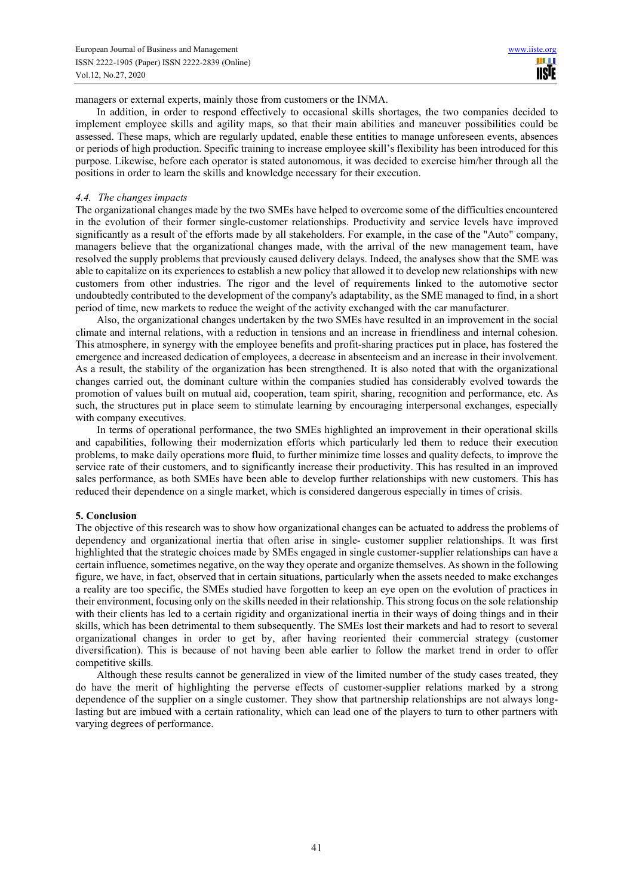managers or external experts, mainly those from customers or the INMA.

In addition, in order to respond effectively to occasional skills shortages, the two companies decided to implement employee skills and agility maps, so that their main abilities and maneuver possibilities could be assessed. These maps, which are regularly updated, enable these entities to manage unforeseen events, absences or periods of high production. Specific training to increase employee skill's flexibility has been introduced for this purpose. Likewise, before each operator is stated autonomous, it was decided to exercise him/her through all the positions in order to learn the skills and knowledge necessary for their execution.

#### *4.4. The changes impacts*

The organizational changes made by the two SMEs have helped to overcome some of the difficulties encountered in the evolution of their former single-customer relationships. Productivity and service levels have improved significantly as a result of the efforts made by all stakeholders. For example, in the case of the "Auto" company, managers believe that the organizational changes made, with the arrival of the new management team, have resolved the supply problems that previously caused delivery delays. Indeed, the analyses show that the SME was able to capitalize on its experiences to establish a new policy that allowed it to develop new relationships with new customers from other industries. The rigor and the level of requirements linked to the automotive sector undoubtedly contributed to the development of the company's adaptability, as the SME managed to find, in a short period of time, new markets to reduce the weight of the activity exchanged with the car manufacturer.

Also, the organizational changes undertaken by the two SMEs have resulted in an improvement in the social climate and internal relations, with a reduction in tensions and an increase in friendliness and internal cohesion. This atmosphere, in synergy with the employee benefits and profit-sharing practices put in place, has fostered the emergence and increased dedication of employees, a decrease in absenteeism and an increase in their involvement. As a result, the stability of the organization has been strengthened. It is also noted that with the organizational changes carried out, the dominant culture within the companies studied has considerably evolved towards the promotion of values built on mutual aid, cooperation, team spirit, sharing, recognition and performance, etc. As such, the structures put in place seem to stimulate learning by encouraging interpersonal exchanges, especially with company executives.

In terms of operational performance, the two SMEs highlighted an improvement in their operational skills and capabilities, following their modernization efforts which particularly led them to reduce their execution problems, to make daily operations more fluid, to further minimize time losses and quality defects, to improve the service rate of their customers, and to significantly increase their productivity. This has resulted in an improved sales performance, as both SMEs have been able to develop further relationships with new customers. This has reduced their dependence on a single market, which is considered dangerous especially in times of crisis.

## **5. Conclusion**

The objective of this research was to show how organizational changes can be actuated to address the problems of dependency and organizational inertia that often arise in single- customer supplier relationships. It was first highlighted that the strategic choices made by SMEs engaged in single customer-supplier relationships can have a certain influence, sometimes negative, on the way they operate and organize themselves. As shown in the following figure, we have, in fact, observed that in certain situations, particularly when the assets needed to make exchanges a reality are too specific, the SMEs studied have forgotten to keep an eye open on the evolution of practices in their environment, focusing only on the skills needed in their relationship. This strong focus on the sole relationship with their clients has led to a certain rigidity and organizational inertia in their ways of doing things and in their skills, which has been detrimental to them subsequently. The SMEs lost their markets and had to resort to several organizational changes in order to get by, after having reoriented their commercial strategy (customer diversification). This is because of not having been able earlier to follow the market trend in order to offer competitive skills.

Although these results cannot be generalized in view of the limited number of the study cases treated, they do have the merit of highlighting the perverse effects of customer-supplier relations marked by a strong dependence of the supplier on a single customer. They show that partnership relationships are not always longlasting but are imbued with a certain rationality, which can lead one of the players to turn to other partners with varying degrees of performance.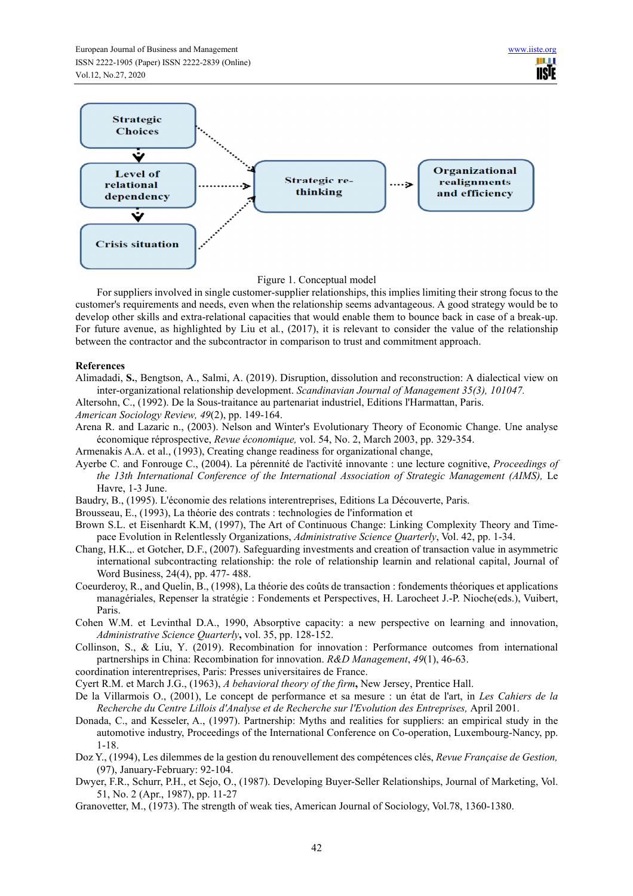

Figure 1. Conceptual model

For suppliers involved in single customer-supplier relationships, this implies limiting their strong focus to the customer's requirements and needs, even when the relationship seems advantageous. A good strategy would be to develop other skills and extra-relational capacities that would enable them to bounce back in case of a break-up. For future avenue, as highlighted by Liu et al*.*, (2017), it is relevant to consider the value of the relationship between the contractor and the subcontractor in comparison to trust and commitment approach.

## **References**

Alimadadi, **S.**, Bengtson, A., Salmi, A. (2019). Disruption, dissolution and reconstruction: A dialectical view on inter-organizational relationship development. *Scandinavian Journal of Management 35(3), 101047.* 

Altersohn, C., (1992). De la Sous-traitance au partenariat industriel, Editions l'Harmattan, Paris.

- *American Sociology Review, 49*(2), pp. 149-164.
- Arena R. and Lazaric n., (2003). Nelson and Winter's Evolutionary Theory of Economic Change. Une analyse économique réprospective, *Revue économique,* vol. 54, No. 2, March 2003, pp. 329-354.
- Armenakis A.A. et al., (1993), Creating change readiness for organizational change,
- Ayerbe C. and Fonrouge C., (2004). La pérennité de l'activité innovante : une lecture cognitive, *Proceedings of the 13th International Conference of the International Association of Strategic Management (AIMS),* Le Havre, 1-3 June.
- Baudry, B., (1995). L'économie des relations interentreprises, Editions La Découverte, Paris.
- Brousseau, E., (1993), La théorie des contrats : technologies de l'information et
- Brown S.L. et Eisenhardt K.M, (1997), The Art of Continuous Change: Linking Complexity Theory and Timepace Evolution in Relentlessly Organizations, *Administrative Science Quarterly*, Vol. 42, pp. 1-34.
- Chang, H.K.,. et Gotcher, D.F., (2007). Safeguarding investments and creation of transaction value in asymmetric international subcontracting relationship: the role of relationship learnin and relational capital, Journal of Word Business, 24(4), pp. 477- 488.
- Coeurderoy, R., and Quelin, B., (1998), La théorie des coûts de transaction : fondements théoriques et applications managériales, Repenser la stratégie : Fondements et Perspectives, H. Larocheet J.-P. Nioche(eds.), Vuibert, Paris.
- Cohen W.M. et Levinthal D.A., 1990, Absorptive capacity: a new perspective on learning and innovation, *Administrative Science Quarterly***,** vol. 35, pp. 128-152.
- Collinson, S., & Liu, Y. (2019). Recombination for innovation : Performance outcomes from international partnerships in China: Recombination for innovation. *R&D Management*, *49*(1), 46‑63.
- coordination interentreprises, Paris: Presses universitaires de France.
- Cyert R.M. et March J.G., (1963), *A behavioral theory of the firm***,** New Jersey, Prentice Hall.
- De la Villarmois O., (2001), Le concept de performance et sa mesure : un état de l'art, in *Les Cahiers de la Recherche du Centre Lillois d'Analyse et de Recherche sur l'Evolution des Entreprises,* April 2001.
- Donada, C., and Kesseler, A., (1997). Partnership: Myths and realities for suppliers: an empirical study in the automotive industry, Proceedings of the International Conference on Co-operation, Luxembourg-Nancy, pp. 1-18.
- Doz Y., (1994), Les dilemmes de la gestion du renouvellement des compétences clés, *Revue Française de Gestion,*  (97), January-February: 92-104.
- Dwyer, F.R., Schurr, P.H., et Sejo, O., (1987). Developing Buyer-Seller Relationships, Journal of Marketing, Vol. 51, No. 2 (Apr., 1987), pp. 11-27
- Granovetter, M., (1973). The strength of weak ties, American Journal of Sociology, Vol.78, 1360-1380.